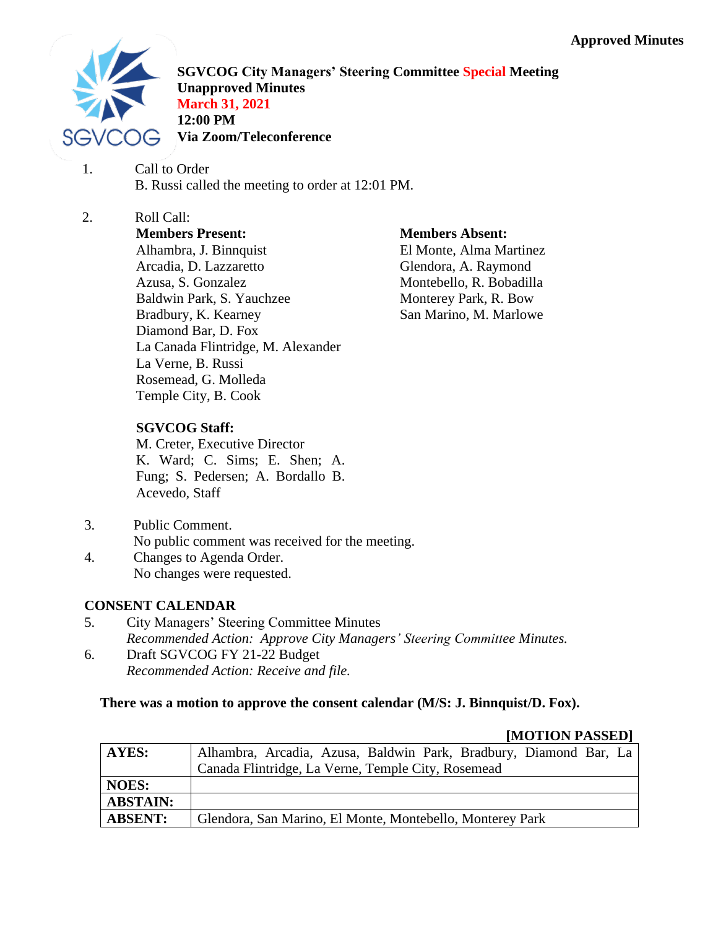

**SGVCOG City Managers' Steering Committee Special Meeting Unapproved Minutes March 31, 2021 12:00 PM Via Zoom/Teleconference**

- 1. Call to Order B. Russi called the meeting to order at 12:01 PM.
- 2. Roll Call: **Members Present:** Alhambra, J. Binnquist Arcadia, D. Lazzaretto Azusa, S. Gonzalez Baldwin Park, S. Yauchzee Bradbury, K. Kearney Diamond Bar, D. Fox La Canada Flintridge, M. Alexander La Verne, B. Russi Rosemead, G. Molleda Temple City, B. Cook

**Members Absent:**

El Monte, Alma Martinez Glendora, A. Raymond Montebello, R. Bobadilla Monterey Park, R. Bow San Marino, M. Marlowe

## **SGVCOG Staff:**

M. Creter, Executive Director K. Ward; C. Sims; E. Shen; A. Fung; S. Pedersen; A. Bordallo B. Acevedo, Staff

# 3. Public Comment.

No public comment was received for the meeting.

4. Changes to Agenda Order. No changes were requested.

### **CONSENT CALENDAR**

- 5. City Managers' Steering Committee Minutes *Recommended Action: Approve City Managers' Steering Committee Minutes.*
- 6. Draft SGVCOG FY 21-22 Budget *Recommended Action: Receive and file.*

### **There was a motion to approve the consent calendar (M/S: J. Binnquist/D. Fox).**

#### **[MOTION PASSED]**

|                 | $\mathbf{H}$                                                      |
|-----------------|-------------------------------------------------------------------|
| AYES:           | Alhambra, Arcadia, Azusa, Baldwin Park, Bradbury, Diamond Bar, La |
|                 | Canada Flintridge, La Verne, Temple City, Rosemead                |
| <b>NOES:</b>    |                                                                   |
| <b>ABSTAIN:</b> |                                                                   |
| <b>ABSENT:</b>  | Glendora, San Marino, El Monte, Montebello, Monterey Park         |